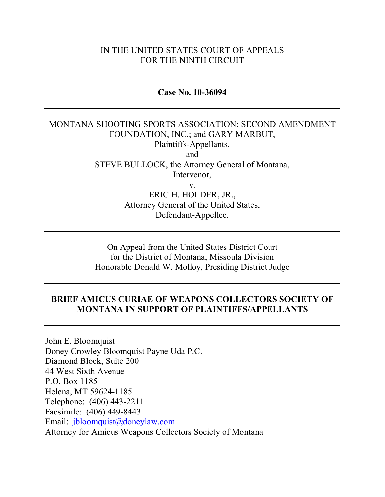### IN THE UNITED STATES COURT OF APPEALS FOR THE NINTH CIRCUIT

#### **Case No. 10-36094**

### MONTANA SHOOTING SPORTS ASSOCIATION; SECOND AMENDMENT FOUNDATION, INC.; and GARY MARBUT, Plaintiffs-Appellants, and STEVE BULLOCK, the Attorney General of Montana, Intervenor, v. ERIC H. HOLDER, JR., Attorney General of the United States, Defendant-Appellee.

On Appeal from the United States District Court for the District of Montana, Missoula Division Honorable Donald W. Molloy, Presiding District Judge

### **BRIEF AMICUS CURIAE OF WEAPONS COLLECTORS SOCIETY OF MONTANA IN SUPPORT OF PLAINTIFFS/APPELLANTS**

John E. Bloomquist Doney Crowley Bloomquist Payne Uda P.C. Diamond Block, Suite 200 44 West Sixth Avenue P.O. Box 1185 Helena, MT 59624-1185 Telephone: (406) 443-2211 Facsimile: (406) 449-8443 Email: [jbloomquist@doneylaw.com](mailto:jbloomquist@doneylaw.com) Attorney for Amicus Weapons Collectors Society of Montana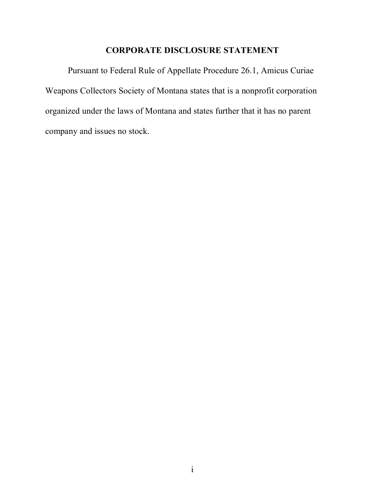## **CORPORATE DISCLOSURE STATEMENT**

Pursuant to Federal Rule of Appellate Procedure 26.1, Amicus Curiae Weapons Collectors Society of Montana states that is a nonprofit corporation organized under the laws of Montana and states further that it has no parent company and issues no stock.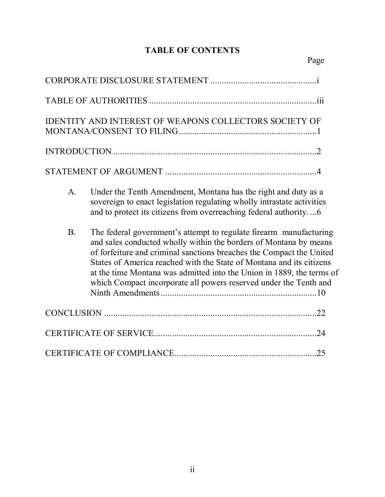# **TABLE OF CONTENTS**

|            | IDENTITY AND INTEREST OF WEAPONS COLLECTORS SOCIETY OF                                                                                                                                                                                                                                                                                                                                                                                |
|------------|---------------------------------------------------------------------------------------------------------------------------------------------------------------------------------------------------------------------------------------------------------------------------------------------------------------------------------------------------------------------------------------------------------------------------------------|
|            |                                                                                                                                                                                                                                                                                                                                                                                                                                       |
|            |                                                                                                                                                                                                                                                                                                                                                                                                                                       |
| A.         | Under the Tenth Amendment, Montana has the right and duty as a<br>sovereign to enact legislation regulating wholly intrastate activities<br>and to protect its citizens from overreaching federal authority6                                                                                                                                                                                                                          |
| <b>B</b> . | The federal government's attempt to regulate firearm manufacturing<br>and sales conducted wholly within the borders of Montana by means<br>of forfeiture and criminal sanctions breaches the Compact the United<br>States of America reached with the State of Montana and its citizens<br>at the time Montana was admitted into the Union in 1889, the terms of<br>which Compact incorporate all powers reserved under the Tenth and |
|            |                                                                                                                                                                                                                                                                                                                                                                                                                                       |
|            |                                                                                                                                                                                                                                                                                                                                                                                                                                       |
|            |                                                                                                                                                                                                                                                                                                                                                                                                                                       |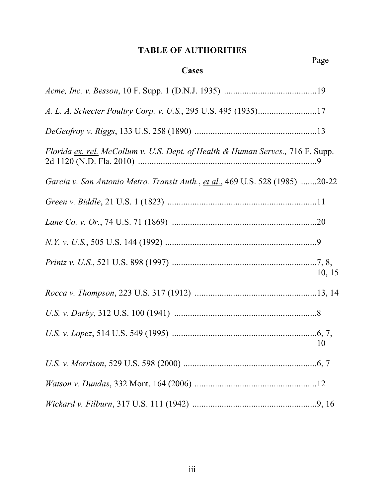## **TABLE OF AUTHORITIES**

Page

## **Cases**

| Florida ex. rel. McCollum v. U.S. Dept. of Health & Human Serves., 716 F. Supp. |        |
|---------------------------------------------------------------------------------|--------|
| Garcia v. San Antonio Metro. Transit Auth., et al., 469 U.S. 528 (1985) 20-22   |        |
|                                                                                 |        |
|                                                                                 |        |
|                                                                                 |        |
|                                                                                 | 10, 15 |
|                                                                                 |        |
|                                                                                 |        |
|                                                                                 | 10     |
|                                                                                 |        |
|                                                                                 |        |
|                                                                                 |        |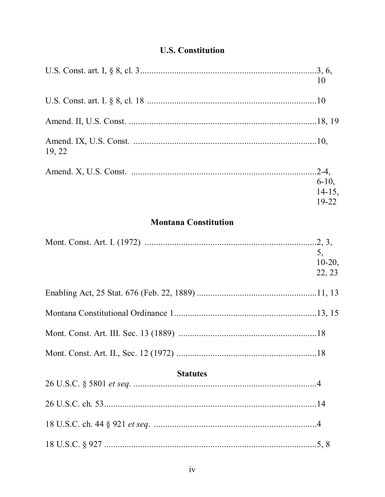# **U.S. Constitution**

|        | 10                    |
|--------|-----------------------|
|        |                       |
|        |                       |
| 19, 22 |                       |
|        | $.2 - 4,$<br>$6-10$ , |
|        | $14-15$ ,<br>$19-22$  |

## **Montana Constitution**

|                 | 5,        |
|-----------------|-----------|
|                 | $10-20$ , |
|                 | 22, 23    |
|                 |           |
|                 |           |
|                 |           |
|                 |           |
| <b>Statutes</b> |           |
|                 |           |
|                 |           |
|                 |           |
|                 |           |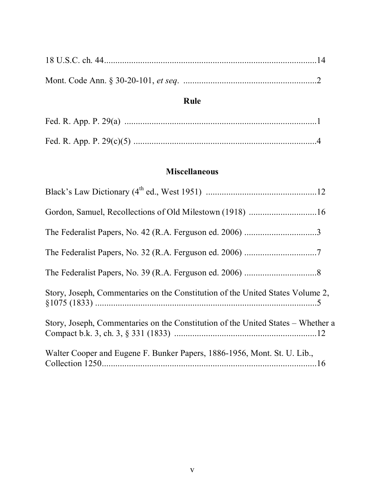# **Rule**

# **Miscellaneous**

| Gordon, Samuel, Recollections of Old Milestown (1918) 16                         |  |
|----------------------------------------------------------------------------------|--|
|                                                                                  |  |
|                                                                                  |  |
|                                                                                  |  |
| Story, Joseph, Commentaries on the Constitution of the United States Volume 2,   |  |
| Story, Joseph, Commentaries on the Constitution of the United States – Whether a |  |
| Walter Cooper and Eugene F. Bunker Papers, 1886-1956, Mont. St. U. Lib.,         |  |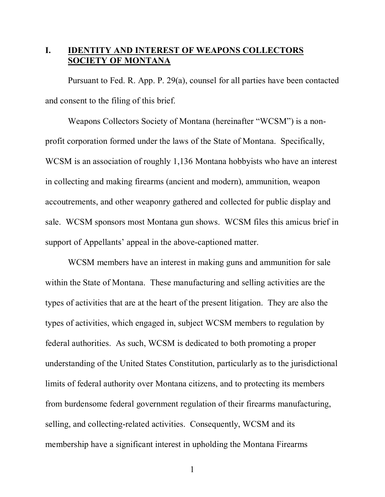## **I. IDENTITY AND INTEREST OF WEAPONS COLLECTORS SOCIETY OF MONTANA**

Pursuant to Fed. R. App. P. 29(a), counsel for all parties have been contacted and consent to the filing of this brief.

Weapons Collectors Society of Montana (hereinafter "WCSM") is a nonprofit corporation formed under the laws of the State of Montana. Specifically, WCSM is an association of roughly 1,136 Montana hobbyists who have an interest in collecting and making firearms (ancient and modern), ammunition, weapon accoutrements, and other weaponry gathered and collected for public display and sale. WCSM sponsors most Montana gun shows. WCSM files this amicus brief in support of Appellants' appeal in the above-captioned matter.

WCSM members have an interest in making guns and ammunition for sale within the State of Montana. These manufacturing and selling activities are the types of activities that are at the heart of the present litigation. They are also the types of activities, which engaged in, subject WCSM members to regulation by federal authorities. As such, WCSM is dedicated to both promoting a proper understanding of the United States Constitution, particularly as to the jurisdictional limits of federal authority over Montana citizens, and to protecting its members from burdensome federal government regulation of their firearms manufacturing, selling, and collecting-related activities. Consequently, WCSM and its membership have a significant interest in upholding the Montana Firearms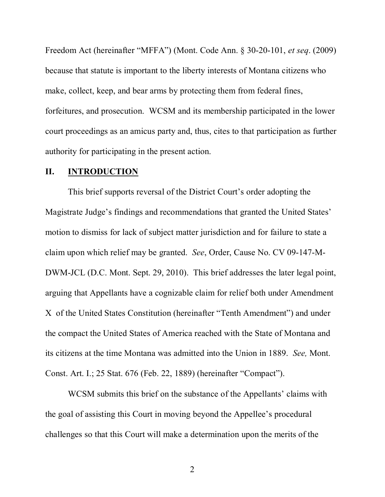Freedom Act (hereinafter "MFFA") (Mont. Code Ann. § 30-20-101, *et seq*. (2009) because that statute is important to the liberty interests of Montana citizens who make, collect, keep, and bear arms by protecting them from federal fines, forfeitures, and prosecution. WCSM and its membership participated in the lower court proceedings as an amicus party and, thus, cites to that participation as further authority for participating in the present action.

### **II. INTRODUCTION**

This brief supports reversal of the District Court's order adopting the Magistrate Judge's findings and recommendations that granted the United States' motion to dismiss for lack of subject matter jurisdiction and for failure to state a claim upon which relief may be granted. *See*, Order, Cause No. CV 09-147-M-DWM-JCL (D.C. Mont. Sept. 29, 2010). This brief addresses the later legal point, arguing that Appellants have a cognizable claim for relief both under Amendment X of the United States Constitution (hereinafter "Tenth Amendment") and under the compact the United States of America reached with the State of Montana and its citizens at the time Montana was admitted into the Union in 1889. *See,* Mont. Const. Art. I.; 25 Stat. 676 (Feb. 22, 1889) (hereinafter "Compact").

WCSM submits this brief on the substance of the Appellants' claims with the goal of assisting this Court in moving beyond the Appellee's procedural challenges so that this Court will make a determination upon the merits of the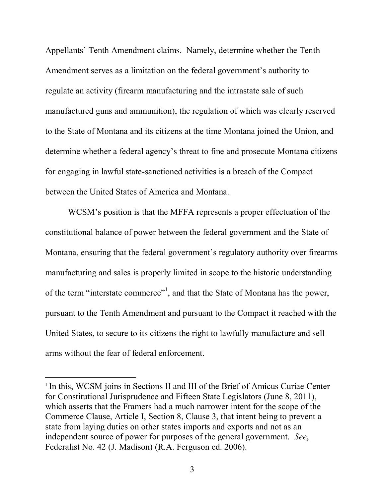Appellants' Tenth Amendment claims. Namely, determine whether the Tenth Amendment serves as a limitation on the federal government's authority to regulate an activity (firearm manufacturing and the intrastate sale of such manufactured guns and ammunition), the regulation of which was clearly reserved to the State of Montana and its citizens at the time Montana joined the Union, and determine whether a federal agency's threat to fine and prosecute Montana citizens for engaging in lawful state-sanctioned activities is a breach of the Compact between the United States of America and Montana.

WCSM's position is that the MFFA represents a proper effectuation of the constitutional balance of power between the federal government and the State of Montana, ensuring that the federal government's regulatory authority over firearms manufacturing and sales is properly limited in scope to the historic understanding of the term "interstate commerce"<sup>1</sup>, and that the State of Montana has the power, pursuant to the Tenth Amendment and pursuant to the Compact it reached with the United States, to secure to its citizens the right to lawfully manufacture and sell arms without the fear of federal enforcement.

<sup>&</sup>lt;sup>1</sup> In this, WCSM joins in Sections II and III of the Brief of Amicus Curiae Center for Constitutional Jurisprudence and Fifteen State Legislators (June 8, 2011), which asserts that the Framers had a much narrower intent for the scope of the Commerce Clause, Article I, Section 8, Clause 3, that intent being to prevent a state from laying duties on other states imports and exports and not as an independent source of power for purposes of the general government. *See*, Federalist No. 42 (J. Madison) (R.A. Ferguson ed. 2006).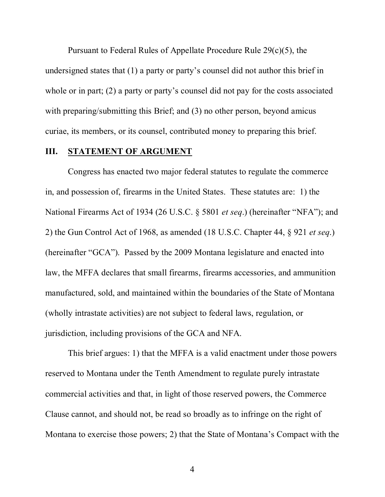Pursuant to Federal Rules of Appellate Procedure Rule 29(c)(5), the undersigned states that (1) a party or party's counsel did not author this brief in whole or in part; (2) a party or party's counsel did not pay for the costs associated with preparing/submitting this Brief; and (3) no other person, beyond amicus curiae, its members, or its counsel, contributed money to preparing this brief.

#### **III. STATEMENT OF ARGUMENT**

Congress has enacted two major federal statutes to regulate the commerce in, and possession of, firearms in the United States. These statutes are: 1) the National Firearms Act of 1934 (26 U.S.C. § 5801 *et seq*.) (hereinafter "NFA"); and 2) the Gun Control Act of 1968, as amended (18 U.S.C. Chapter 44, § 921 *et seq*.) (hereinafter "GCA"). Passed by the 2009 Montana legislature and enacted into law, the MFFA declares that small firearms, firearms accessories, and ammunition manufactured, sold, and maintained within the boundaries of the State of Montana (wholly intrastate activities) are not subject to federal laws, regulation, or jurisdiction, including provisions of the GCA and NFA.

This brief argues: 1) that the MFFA is a valid enactment under those powers reserved to Montana under the Tenth Amendment to regulate purely intrastate commercial activities and that, in light of those reserved powers, the Commerce Clause cannot, and should not, be read so broadly as to infringe on the right of Montana to exercise those powers; 2) that the State of Montana's Compact with the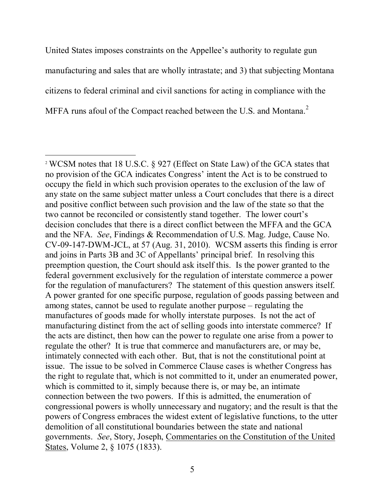United States imposes constraints on the Appellee's authority to regulate gun manufacturing and sales that are wholly intrastate; and 3) that subjecting Montana citizens to federal criminal and civil sanctions for acting in compliance with the MFFA runs afoul of the Compact reached between the U.S. and Montana.<sup>2</sup>

<sup>2</sup> WCSM notes that 18 U.S.C. § 927 (Effect on State Law) of the GCA states that no provision of the GCA indicates Congress' intent the Act is to be construed to occupy the field in which such provision operates to the exclusion of the law of any state on the same subject matter unless a Court concludes that there is a direct and positive conflict between such provision and the law of the state so that the two cannot be reconciled or consistently stand together. The lower court's decision concludes that there is a direct conflict between the MFFA and the GCA and the NFA. *See*, Findings & Recommendation of U.S. Mag. Judge, Cause No. CV-09-147-DWM-JCL, at 57 (Aug. 31, 2010). WCSM asserts this finding is error and joins in Parts 3B and 3C of Appellants' principal brief. In resolving this preemption question, the Court should ask itself this. Is the power granted to the federal government exclusively for the regulation of interstate commerce a power for the regulation of manufacturers? The statement of this question answers itself. A power granted for one specific purpose, regulation of goods passing between and among states, cannot be used to regulate another purpose – regulating the manufactures of goods made for wholly interstate purposes. Is not the act of manufacturing distinct from the act of selling goods into interstate commerce? If the acts are distinct, then how can the power to regulate one arise from a power to regulate the other? It is true that commerce and manufacturers are, or may be, intimately connected with each other. But, that is not the constitutional point at issue. The issue to be solved in Commerce Clause cases is whether Congress has the right to regulate that, which is not committed to it, under an enumerated power, which is committed to it, simply because there is, or may be, an intimate connection between the two powers. If this is admitted, the enumeration of congressional powers is wholly unnecessary and nugatory; and the result is that the powers of Congress embraces the widest extent of legislative functions, to the utter demolition of all constitutional boundaries between the state and national governments. *See*, Story, Joseph, Commentaries on the Constitution of the United States, Volume 2, § 1075 (1833).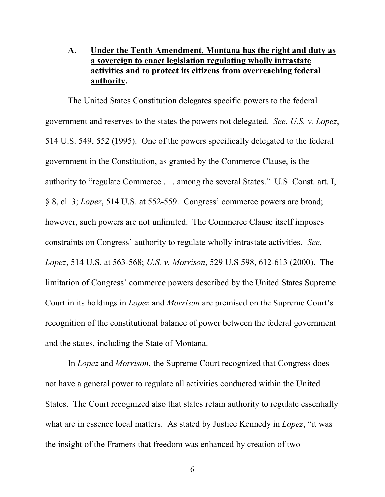### **A. Under the Tenth Amendment, Montana has the right and duty as a sovereign to enact legislation regulating wholly intrastate activities and to protect its citizens from overreaching federal authority.**

The United States Constitution delegates specific powers to the federal government and reserves to the states the powers not delegated. *See*, *U.S. v. Lopez*, 514 U.S. 549, 552 (1995). One of the powers specifically delegated to the federal government in the Constitution, as granted by the Commerce Clause, is the authority to "regulate Commerce . . . among the several States." U.S. Const. art. I, § 8, cl. 3; *Lopez*, 514 U.S. at 552-559. Congress' commerce powers are broad; however, such powers are not unlimited. The Commerce Clause itself imposes constraints on Congress' authority to regulate wholly intrastate activities. *See*, *Lopez*, 514 U.S. at 563-568; *U.S. v. Morrison*, 529 U.S 598, 612-613 (2000). The limitation of Congress' commerce powers described by the United States Supreme Court in its holdings in *Lopez* and *Morrison* are premised on the Supreme Court's recognition of the constitutional balance of power between the federal government and the states, including the State of Montana.

In *Lopez* and *Morrison*, the Supreme Court recognized that Congress does not have a general power to regulate all activities conducted within the United States. The Court recognized also that states retain authority to regulate essentially what are in essence local matters. As stated by Justice Kennedy in *Lopez*, "it was the insight of the Framers that freedom was enhanced by creation of two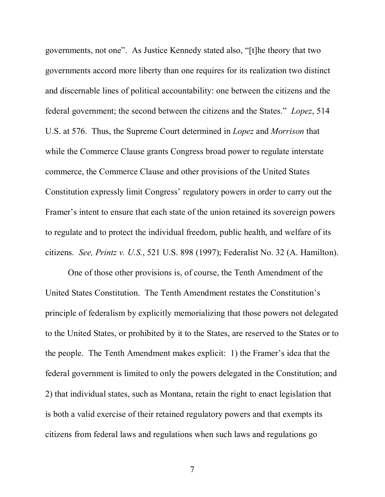governments, not one". As Justice Kennedy stated also, "[t]he theory that two governments accord more liberty than one requires for its realization two distinct and discernable lines of political accountability: one between the citizens and the federal government; the second between the citizens and the States." *Lopez*, 514 U.S. at 576. Thus, the Supreme Court determined in *Lopez* and *Morrison* that while the Commerce Clause grants Congress broad power to regulate interstate commerce, the Commerce Clause and other provisions of the United States Constitution expressly limit Congress' regulatory powers in order to carry out the Framer's intent to ensure that each state of the union retained its sovereign powers to regulate and to protect the individual freedom, public health, and welfare of its citizens. *See, Printz v. U.S.*, 521 U.S. 898 (1997); Federalist No. 32 (A. Hamilton).

One of those other provisions is, of course, the Tenth Amendment of the United States Constitution. The Tenth Amendment restates the Constitution's principle of federalism by explicitly memorializing that those powers not delegated to the United States, or prohibited by it to the States, are reserved to the States or to the people. The Tenth Amendment makes explicit: 1) the Framer's idea that the federal government is limited to only the powers delegated in the Constitution; and 2) that individual states, such as Montana, retain the right to enact legislation that is both a valid exercise of their retained regulatory powers and that exempts its citizens from federal laws and regulations when such laws and regulations go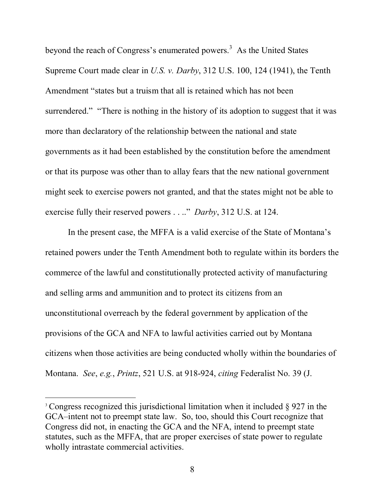beyond the reach of Congress's enumerated powers.<sup>3</sup> As the United States Supreme Court made clear in *U.S. v. Darby*, 312 U.S. 100, 124 (1941), the Tenth Amendment "states but a truism that all is retained which has not been surrendered." "There is nothing in the history of its adoption to suggest that it was more than declaratory of the relationship between the national and state governments as it had been established by the constitution before the amendment or that its purpose was other than to allay fears that the new national government might seek to exercise powers not granted, and that the states might not be able to exercise fully their reserved powers . . .." *Darby*, 312 U.S. at 124.

In the present case, the MFFA is a valid exercise of the State of Montana's retained powers under the Tenth Amendment both to regulate within its borders the commerce of the lawful and constitutionally protected activity of manufacturing and selling arms and ammunition and to protect its citizens from an unconstitutional overreach by the federal government by application of the provisions of the GCA and NFA to lawful activities carried out by Montana citizens when those activities are being conducted wholly within the boundaries of Montana. *See*, *e.g.*, *Printz*, 521 U.S. at 918-924, *citing* Federalist No. 39 (J.

<sup>&</sup>lt;sup>3</sup> Congress recognized this jurisdictional limitation when it included § 927 in the GCA–intent not to preempt state law. So, too, should this Court recognize that Congress did not, in enacting the GCA and the NFA, intend to preempt state statutes, such as the MFFA, that are proper exercises of state power to regulate wholly intrastate commercial activities.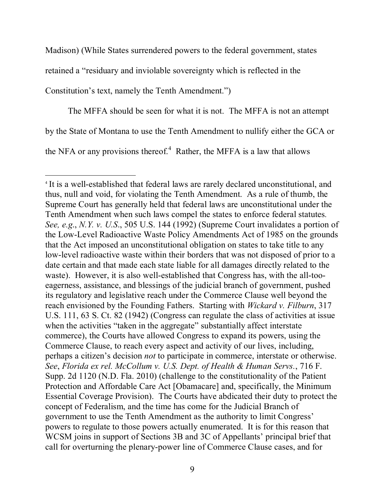Madison) (While States surrendered powers to the federal government, states

retained a "residuary and inviolable sovereignty which is reflected in the

Constitution's text, namely the Tenth Amendment.")

The MFFA should be seen for what it is not. The MFFA is not an attempt

by the State of Montana to use the Tenth Amendment to nullify either the GCA or

the NFA or any provisions thereof.<sup>4</sup> Rather, the MFFA is a law that allows

<sup>4</sup> It is a well-established that federal laws are rarely declared unconstitutional, and thus, null and void, for violating the Tenth Amendment. As a rule of thumb, the Supreme Court has generally held that federal laws are unconstitutional under the Tenth Amendment when such laws compel the states to enforce federal statutes*. See, e.g*., *N.Y. v. U.S*., 505 U.S. 144 (1992) (Supreme Court invalidates a portion of the Low-Level Radioactive Waste Policy Amendments Act of 1985 on the grounds that the Act imposed an unconstitutional obligation on states to take title to any low-level radioactive waste within their borders that was not disposed of prior to a date certain and that made each state liable for all damages directly related to the waste). However, it is also well-established that Congress has, with the all-tooeagerness, assistance, and blessings of the judicial branch of government, pushed its regulatory and legislative reach under the Commerce Clause well beyond the reach envisioned by the Founding Fathers. Starting with *Wickard v. Filburn*, 317 U.S. 111, 63 S. Ct. 82 (1942) (Congress can regulate the class of activities at issue when the activities "taken in the aggregate" substantially affect interstate commerce), the Courts have allowed Congress to expand its powers, using the Commerce Clause, to reach every aspect and activity of our lives, including, perhaps a citizen's decision *not* to participate in commerce, interstate or otherwise. *See*, *Florida ex rel. McCollum v. U.S. Dept. of Health & Human Servs.*, 716 F. Supp. 2d 1120 (N.D. Fla. 2010) (challenge to the constitutionality of the Patient Protection and Affordable Care Act [Obamacare] and, specifically, the Minimum Essential Coverage Provision). The Courts have abdicated their duty to protect the concept of Federalism, and the time has come for the Judicial Branch of government to use the Tenth Amendment as the authority to limit Congress' powers to regulate to those powers actually enumerated. It is for this reason that WCSM joins in support of Sections 3B and 3C of Appellants' principal brief that call for overturning the plenary-power line of Commerce Clause cases, and for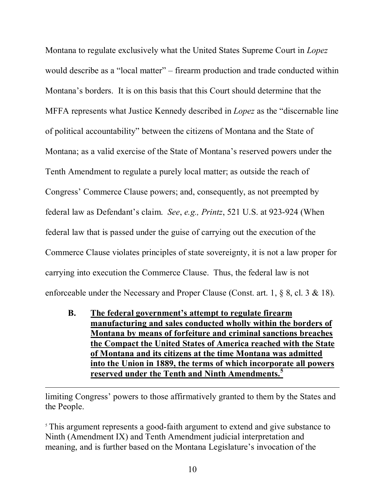Montana to regulate exclusively what the United States Supreme Court in *Lopez* would describe as a "local matter" – firearm production and trade conducted within Montana's borders. It is on this basis that this Court should determine that the MFFA represents what Justice Kennedy described in *Lopez* as the "discernable line of political accountability" between the citizens of Montana and the State of Montana; as a valid exercise of the State of Montana's reserved powers under the Tenth Amendment to regulate a purely local matter; as outside the reach of Congress' Commerce Clause powers; and, consequently, as not preempted by federal law as Defendant's claim. *See*, *e.g., Printz*, 521 U.S. at 923-924 (When federal law that is passed under the guise of carrying out the execution of the Commerce Clause violates principles of state sovereignty, it is not a law proper for carrying into execution the Commerce Clause. Thus, the federal law is not enforceable under the Necessary and Proper Clause (Const. art. 1, § 8, cl. 3 & 18).

**B. The federal government's attempt to regulate firearm manufacturing and sales conducted wholly within the borders of Montana by means of forfeiture and criminal sanctions breaches the Compact the United States of America reached with the State of Montana and its citizens at the time Montana was admitted into the Union in 1889, the terms of which incorporate all powers reserved under the Tenth and Ninth Amendments.<sup>5</sup>**

limiting Congress' powers to those affirmatively granted to them by the States and the People.

<sup>5</sup> This argument represents a good-faith argument to extend and give substance to Ninth (Amendment IX) and Tenth Amendment judicial interpretation and meaning, and is further based on the Montana Legislature's invocation of the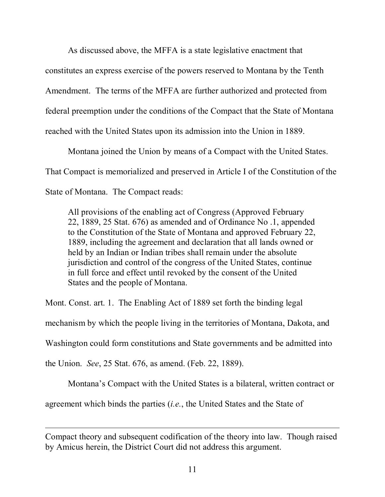As discussed above, the MFFA is a state legislative enactment that

constitutes an express exercise of the powers reserved to Montana by the Tenth

Amendment. The terms of the MFFA are further authorized and protected from

federal preemption under the conditions of the Compact that the State of Montana

reached with the United States upon its admission into the Union in 1889.

Montana joined the Union by means of a Compact with the United States. That Compact is memorialized and preserved in Article I of the Constitution of the State of Montana. The Compact reads:

All provisions of the enabling act of Congress (Approved February 22, 1889, 25 Stat. 676) as amended and of Ordinance No .1, appended to the Constitution of the State of Montana and approved February 22, 1889, including the agreement and declaration that all lands owned or held by an Indian or Indian tribes shall remain under the absolute jurisdiction and control of the congress of the United States, continue in full force and effect until revoked by the consent of the United States and the people of Montana.

Mont. Const. art. 1. The Enabling Act of 1889 set forth the binding legal

mechanism by which the people living in the territories of Montana, Dakota, and

Washington could form constitutions and State governments and be admitted into

the Union. *See*, 25 Stat. 676, as amend. (Feb. 22, 1889).

Montana's Compact with the United States is a bilateral, written contract or

agreement which binds the parties (*i.e.*, the United States and the State of

Compact theory and subsequent codification of the theory into law. Though raised by Amicus herein, the District Court did not address this argument.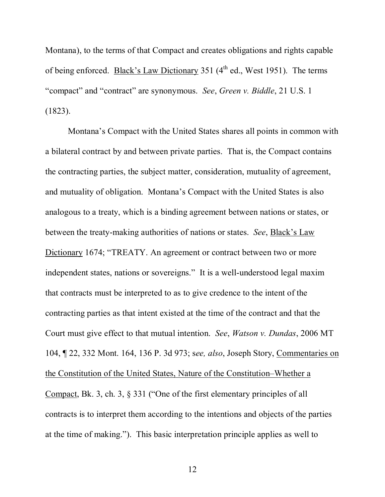Montana), to the terms of that Compact and creates obligations and rights capable of being enforced. Black's Law Dictionary 351  $(4<sup>th</sup>$  ed., West 1951). The terms "compact" and "contract" are synonymous. *See*, *Green v. Biddle*, 21 U.S. 1 (1823).

Montana's Compact with the United States shares all points in common with a bilateral contract by and between private parties. That is, the Compact contains the contracting parties, the subject matter, consideration, mutuality of agreement, and mutuality of obligation. Montana's Compact with the United States is also analogous to a treaty, which is a binding agreement between nations or states, or between the treaty-making authorities of nations or states. *See*, Black's Law Dictionary 1674; "TREATY. An agreement or contract between two or more independent states, nations or sovereigns." It is a well-understood legal maxim that contracts must be interpreted to as to give credence to the intent of the contracting parties as that intent existed at the time of the contract and that the Court must give effect to that mutual intention. *See*, *Watson v. Dundas*, 2006 MT 104, ¶ 22, 332 Mont. 164, 136 P. 3d 973; s*ee, also*, Joseph Story, Commentaries on the Constitution of the United States, Nature of the Constitution–Whether a Compact, Bk. 3, ch. 3, § 331 ("One of the first elementary principles of all contracts is to interpret them according to the intentions and objects of the parties at the time of making."). This basic interpretation principle applies as well to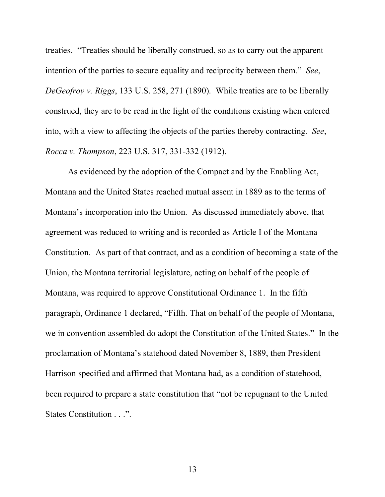treaties. "Treaties should be liberally construed, so as to carry out the apparent intention of the parties to secure equality and reciprocity between them." *See*, *DeGeofroy v. Riggs*, 133 U.S. 258, 271 (1890). While treaties are to be liberally construed, they are to be read in the light of the conditions existing when entered into, with a view to affecting the objects of the parties thereby contracting. *See*, *Rocca v. Thompson*, 223 U.S. 317, 331-332 (1912).

As evidenced by the adoption of the Compact and by the Enabling Act, Montana and the United States reached mutual assent in 1889 as to the terms of Montana's incorporation into the Union. As discussed immediately above, that agreement was reduced to writing and is recorded as Article I of the Montana Constitution. As part of that contract, and as a condition of becoming a state of the Union, the Montana territorial legislature, acting on behalf of the people of Montana, was required to approve Constitutional Ordinance 1. In the fifth paragraph, Ordinance 1 declared, "Fifth. That on behalf of the people of Montana, we in convention assembled do adopt the Constitution of the United States." In the proclamation of Montana's statehood dated November 8, 1889, then President Harrison specified and affirmed that Montana had, as a condition of statehood, been required to prepare a state constitution that "not be repugnant to the United States Constitution . . .".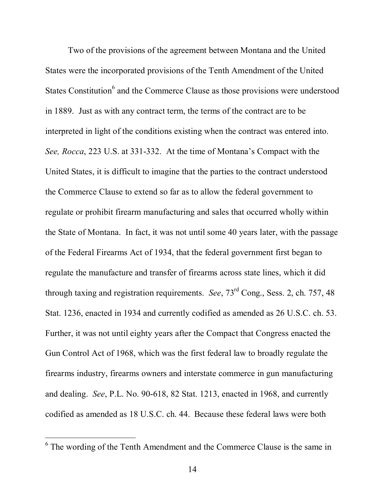Two of the provisions of the agreement between Montana and the United States were the incorporated provisions of the Tenth Amendment of the United States Constitution<sup>6</sup> and the Commerce Clause as those provisions were understood in 1889. Just as with any contract term, the terms of the contract are to be interpreted in light of the conditions existing when the contract was entered into. *See, Rocca*, 223 U.S. at 331-332. At the time of Montana's Compact with the United States, it is difficult to imagine that the parties to the contract understood the Commerce Clause to extend so far as to allow the federal government to regulate or prohibit firearm manufacturing and sales that occurred wholly within the State of Montana. In fact, it was not until some 40 years later, with the passage of the Federal Firearms Act of 1934, that the federal government first began to regulate the manufacture and transfer of firearms across state lines, which it did through taxing and registration requirements. *See*, 73rd Cong., Sess. 2, ch. 757, 48 Stat. 1236, enacted in 1934 and currently codified as amended as 26 U.S.C. ch. 53. Further, it was not until eighty years after the Compact that Congress enacted the Gun Control Act of 1968, which was the first federal law to broadly regulate the firearms industry, firearms owners and interstate commerce in gun manufacturing and dealing. *See*, P.L. No. 90-618, 82 Stat. 1213, enacted in 1968, and currently codified as amended as 18 U.S.C. ch. 44. Because these federal laws were both

<sup>&</sup>lt;sup>6</sup> The wording of the Tenth Amendment and the Commerce Clause is the same in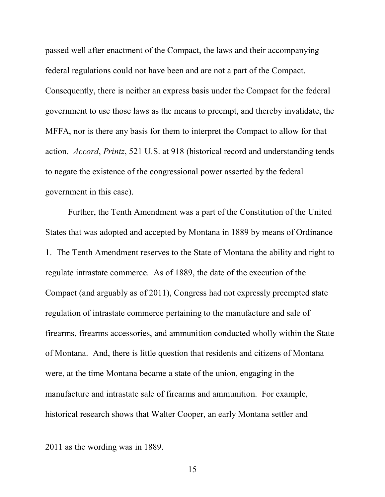passed well after enactment of the Compact, the laws and their accompanying federal regulations could not have been and are not a part of the Compact. Consequently, there is neither an express basis under the Compact for the federal government to use those laws as the means to preempt, and thereby invalidate, the MFFA, nor is there any basis for them to interpret the Compact to allow for that action. *Accord*, *Printz*, 521 U.S. at 918 (historical record and understanding tends to negate the existence of the congressional power asserted by the federal government in this case).

Further, the Tenth Amendment was a part of the Constitution of the United States that was adopted and accepted by Montana in 1889 by means of Ordinance 1. The Tenth Amendment reserves to the State of Montana the ability and right to regulate intrastate commerce. As of 1889, the date of the execution of the Compact (and arguably as of 2011), Congress had not expressly preempted state regulation of intrastate commerce pertaining to the manufacture and sale of firearms, firearms accessories, and ammunition conducted wholly within the State of Montana. And, there is little question that residents and citizens of Montana were, at the time Montana became a state of the union, engaging in the manufacture and intrastate sale of firearms and ammunition. For example, historical research shows that Walter Cooper, an early Montana settler and

<sup>2011</sup> as the wording was in 1889.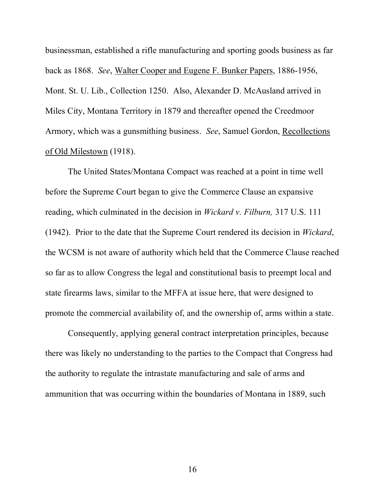businessman, established a rifle manufacturing and sporting goods business as far back as 1868. *See*, Walter Cooper and Eugene F. Bunker Papers, 1886-1956, Mont. St. U. Lib., Collection 1250. Also, Alexander D. McAusland arrived in Miles City, Montana Territory in 1879 and thereafter opened the Creedmoor Armory, which was a gunsmithing business. *See*, Samuel Gordon, Recollections of Old Milestown (1918).

The United States/Montana Compact was reached at a point in time well before the Supreme Court began to give the Commerce Clause an expansive reading, which culminated in the decision in *Wickard v. Filburn,* 317 U.S. 111 (1942). Prior to the date that the Supreme Court rendered its decision in *Wickard*, the WCSM is not aware of authority which held that the Commerce Clause reached so far as to allow Congress the legal and constitutional basis to preempt local and state firearms laws, similar to the MFFA at issue here, that were designed to promote the commercial availability of, and the ownership of, arms within a state.

Consequently, applying general contract interpretation principles, because there was likely no understanding to the parties to the Compact that Congress had the authority to regulate the intrastate manufacturing and sale of arms and ammunition that was occurring within the boundaries of Montana in 1889, such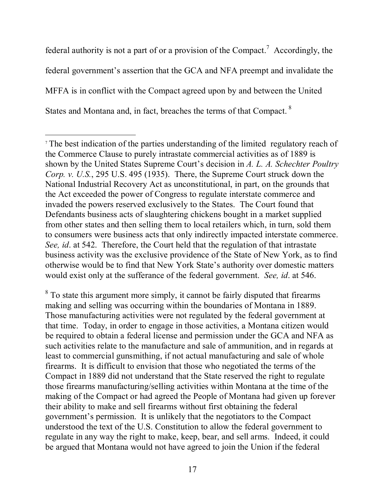federal authority is not a part of or a provision of the Compact.<sup>7</sup> Accordingly, the federal government's assertion that the GCA and NFA preempt and invalidate the MFFA is in conflict with the Compact agreed upon by and between the United States and Montana and, in fact, breaches the terms of that Compact.<sup>8</sup>

<sup>7</sup> The best indication of the parties understanding of the limited regulatory reach of the Commerce Clause to purely intrastate commercial activities as of 1889 is shown by the United States Supreme Court's decision in *A. L. A. Schechter Poultry Corp. v. U.S.*, 295 U.S. 495 (1935). There, the Supreme Court struck down the National Industrial Recovery Act as unconstitutional, in part, on the grounds that the Act exceeded the power of Congress to regulate interstate commerce and invaded the powers reserved exclusively to the States. The Court found that Defendants business acts of slaughtering chickens bought in a market supplied from other states and then selling them to local retailers which, in turn, sold them to consumers were business acts that only indirectly impacted interstate commerce. *See, id*. at 542. Therefore, the Court held that the regulation of that intrastate business activity was the exclusive providence of the State of New York, as to find otherwise would be to find that New York State's authority over domestic matters would exist only at the sufferance of the federal government. *See, id*. at 546.

<sup>&</sup>lt;sup>8</sup> To state this argument more simply, it cannot be fairly disputed that firearms making and selling was occurring within the boundaries of Montana in 1889. Those manufacturing activities were not regulated by the federal government at that time. Today, in order to engage in those activities, a Montana citizen would be required to obtain a federal license and permission under the GCA and NFA as such activities relate to the manufacture and sale of ammunition, and in regards at least to commercial gunsmithing, if not actual manufacturing and sale of whole firearms. It is difficult to envision that those who negotiated the terms of the Compact in 1889 did not understand that the State reserved the right to regulate those firearms manufacturing/selling activities within Montana at the time of the making of the Compact or had agreed the People of Montana had given up forever their ability to make and sell firearms without first obtaining the federal government's permission. It is unlikely that the negotiators to the Compact understood the text of the U.S. Constitution to allow the federal government to regulate in any way the right to make, keep, bear, and sell arms. Indeed, it could be argued that Montana would not have agreed to join the Union if the federal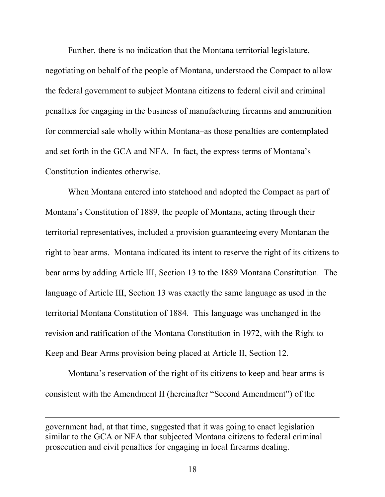Further, there is no indication that the Montana territorial legislature, negotiating on behalf of the people of Montana, understood the Compact to allow the federal government to subject Montana citizens to federal civil and criminal penalties for engaging in the business of manufacturing firearms and ammunition for commercial sale wholly within Montana–as those penalties are contemplated and set forth in the GCA and NFA. In fact, the express terms of Montana's Constitution indicates otherwise.

When Montana entered into statehood and adopted the Compact as part of Montana's Constitution of 1889, the people of Montana, acting through their territorial representatives, included a provision guaranteeing every Montanan the right to bear arms. Montana indicated its intent to reserve the right of its citizens to bear arms by adding Article III, Section 13 to the 1889 Montana Constitution. The language of Article III, Section 13 was exactly the same language as used in the territorial Montana Constitution of 1884. This language was unchanged in the revision and ratification of the Montana Constitution in 1972, with the Right to Keep and Bear Arms provision being placed at Article II, Section 12.

Montana's reservation of the right of its citizens to keep and bear arms is consistent with the Amendment II (hereinafter "Second Amendment") of the

government had, at that time, suggested that it was going to enact legislation similar to the GCA or NFA that subjected Montana citizens to federal criminal prosecution and civil penalties for engaging in local firearms dealing.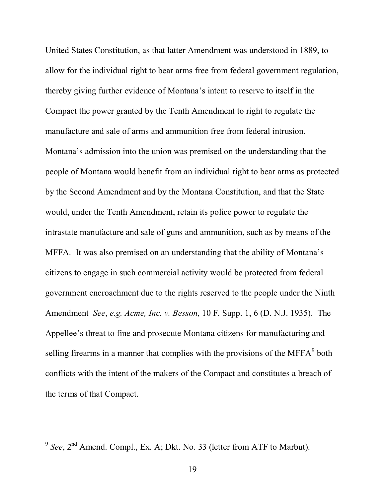United States Constitution, as that latter Amendment was understood in 1889, to allow for the individual right to bear arms free from federal government regulation, thereby giving further evidence of Montana's intent to reserve to itself in the Compact the power granted by the Tenth Amendment to right to regulate the manufacture and sale of arms and ammunition free from federal intrusion. Montana's admission into the union was premised on the understanding that the people of Montana would benefit from an individual right to bear arms as protected by the Second Amendment and by the Montana Constitution, and that the State would, under the Tenth Amendment, retain its police power to regulate the intrastate manufacture and sale of guns and ammunition, such as by means of the MFFA. It was also premised on an understanding that the ability of Montana's citizens to engage in such commercial activity would be protected from federal government encroachment due to the rights reserved to the people under the Ninth Amendment *See*, *e.g. Acme, Inc. v. Besson*, 10 F. Supp. 1, 6 (D. N.J. 1935). The Appellee's threat to fine and prosecute Montana citizens for manufacturing and selling firearms in a manner that complies with the provisions of the MFFA $^9$  both conflicts with the intent of the makers of the Compact and constitutes a breach of the terms of that Compact.

<sup>&</sup>lt;sup>9</sup> See, 2<sup>nd</sup> Amend. Compl., Ex. A; Dkt. No. 33 (letter from ATF to Marbut).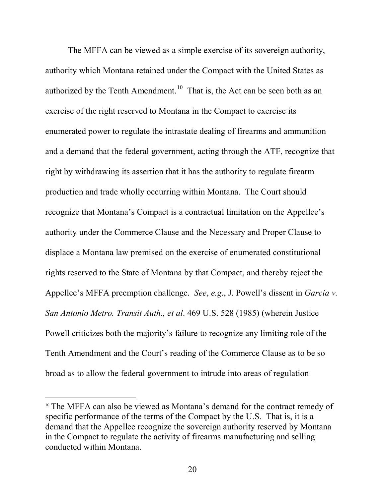The MFFA can be viewed as a simple exercise of its sovereign authority, authority which Montana retained under the Compact with the United States as authorized by the Tenth Amendment.<sup>10</sup> That is, the Act can be seen both as an exercise of the right reserved to Montana in the Compact to exercise its enumerated power to regulate the intrastate dealing of firearms and ammunition and a demand that the federal government, acting through the ATF, recognize that right by withdrawing its assertion that it has the authority to regulate firearm production and trade wholly occurring within Montana. The Court should recognize that Montana's Compact is a contractual limitation on the Appellee's authority under the Commerce Clause and the Necessary and Proper Clause to displace a Montana law premised on the exercise of enumerated constitutional rights reserved to the State of Montana by that Compact, and thereby reject the Appellee's MFFA preemption challenge. *See*, *e.g*., J. Powell's dissent in *Garcia v. San Antonio Metro. Transit Auth., et al*. 469 U.S. 528 (1985) (wherein Justice Powell criticizes both the majority's failure to recognize any limiting role of the Tenth Amendment and the Court's reading of the Commerce Clause as to be so broad as to allow the federal government to intrude into areas of regulation

<sup>&</sup>lt;sup>10</sup> The MFFA can also be viewed as Montana's demand for the contract remedy of specific performance of the terms of the Compact by the U.S. That is, it is a demand that the Appellee recognize the sovereign authority reserved by Montana in the Compact to regulate the activity of firearms manufacturing and selling conducted within Montana.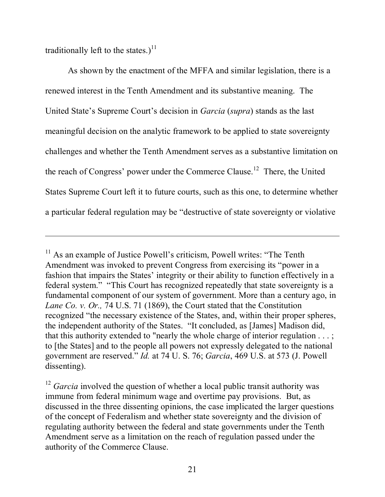traditionally left to the states.)<sup>11</sup>

As shown by the enactment of the MFFA and similar legislation, there is a renewed interest in the Tenth Amendment and its substantive meaning. The United State's Supreme Court's decision in *Garcia* (*supra*) stands as the last meaningful decision on the analytic framework to be applied to state sovereignty challenges and whether the Tenth Amendment serves as a substantive limitation on the reach of Congress' power under the Commerce Clause.<sup>12</sup> There, the United States Supreme Court left it to future courts, such as this one, to determine whether a particular federal regulation may be "destructive of state sovereignty or violative

<sup>&</sup>lt;sup>11</sup> As an example of Justice Powell's criticism, Powell writes: "The Tenth Amendment was invoked to prevent Congress from exercising its "power in a fashion that impairs the States' integrity or their ability to function effectively in a federal system." "This Court has recognized repeatedly that state sovereignty is a fundamental component of our system of government. More than a century ago, in *Lane Co. v. Or.,* 74 U.S. 71 (1869), the Court stated that the Constitution recognized "the necessary existence of the States, and, within their proper spheres, the independent authority of the States. "It concluded, as [James] Madison did, that this authority extended to "nearly the whole charge of interior regulation . . . ; to [the States] and to the people all powers not expressly delegated to the national government are reserved." *Id.* at 74 U. S. 76; *Garcia*, 469 U.S. at 573 (J. Powell dissenting).

<sup>&</sup>lt;sup>12</sup> *Garcia* involved the question of whether a local public transit authority was immune from federal minimum wage and overtime pay provisions. But, as discussed in the three dissenting opinions, the case implicated the larger questions of the concept of Federalism and whether state sovereignty and the division of regulating authority between the federal and state governments under the Tenth Amendment serve as a limitation on the reach of regulation passed under the authority of the Commerce Clause.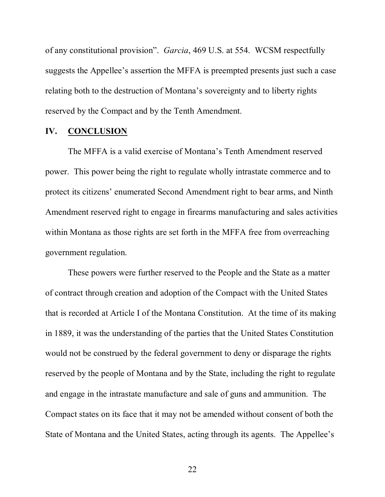of any constitutional provision". *Garcia*, 469 U.S. at 554. WCSM respectfully suggests the Appellee's assertion the MFFA is preempted presents just such a case relating both to the destruction of Montana's sovereignty and to liberty rights reserved by the Compact and by the Tenth Amendment.

#### **IV. CONCLUSION**

The MFFA is a valid exercise of Montana's Tenth Amendment reserved power. This power being the right to regulate wholly intrastate commerce and to protect its citizens' enumerated Second Amendment right to bear arms, and Ninth Amendment reserved right to engage in firearms manufacturing and sales activities within Montana as those rights are set forth in the MFFA free from overreaching government regulation.

These powers were further reserved to the People and the State as a matter of contract through creation and adoption of the Compact with the United States that is recorded at Article I of the Montana Constitution. At the time of its making in 1889, it was the understanding of the parties that the United States Constitution would not be construed by the federal government to deny or disparage the rights reserved by the people of Montana and by the State, including the right to regulate and engage in the intrastate manufacture and sale of guns and ammunition. The Compact states on its face that it may not be amended without consent of both the State of Montana and the United States, acting through its agents. The Appellee's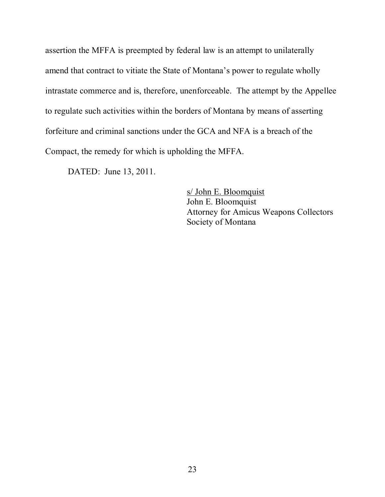assertion the MFFA is preempted by federal law is an attempt to unilaterally amend that contract to vitiate the State of Montana's power to regulate wholly intrastate commerce and is, therefore, unenforceable. The attempt by the Appellee to regulate such activities within the borders of Montana by means of asserting forfeiture and criminal sanctions under the GCA and NFA is a breach of the Compact, the remedy for which is upholding the MFFA.

DATED: June 13, 2011.

s/ John E. Bloomquist John E. Bloomquist Attorney for Amicus Weapons Collectors Society of Montana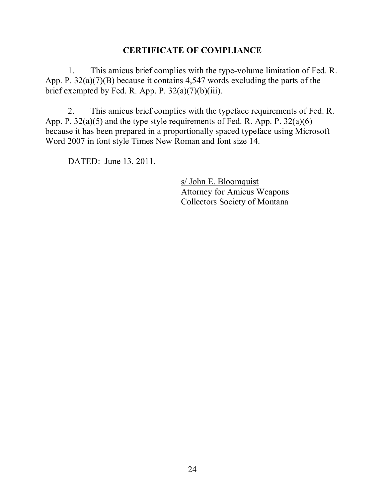### **CERTIFICATE OF COMPLIANCE**

1. This amicus brief complies with the type-volume limitation of Fed. R. App. P. 32(a)(7)(B) because it contains 4,547 words excluding the parts of the brief exempted by Fed. R. App. P.  $32(a)(7)(b)(iii)$ .

2. This amicus brief complies with the typeface requirements of Fed. R. App. P.  $32(a)(5)$  and the type style requirements of Fed. R. App. P.  $32(a)(6)$ because it has been prepared in a proportionally spaced typeface using Microsoft Word 2007 in font style Times New Roman and font size 14.

DATED: June 13, 2011.

s/ John E. Bloomquist Attorney for Amicus Weapons Collectors Society of Montana